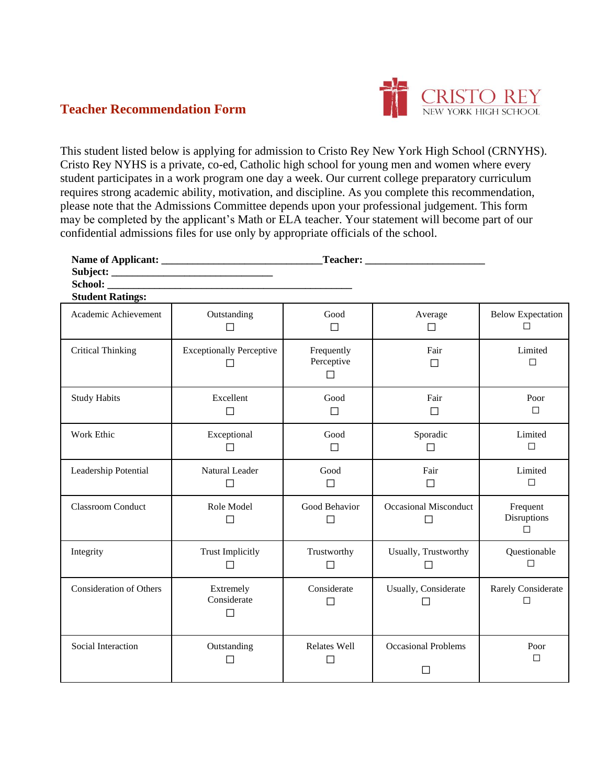

## **Teacher Recommendation Form**

This student listed below is applying for admission to Cristo Rey New York High School (CRNYHS). Cristo Rey NYHS is a private, co-ed, Catholic high school for young men and women where every student participates in a work program one day a week. Our current college preparatory curriculum requires strong academic ability, motivation, and discipline. As you complete this recommendation, please note that the Admissions Committee depends upon your professional judgement. This form may be completed by the applicant's Math or ELA teacher. Your statement will become part of our confidential admissions files for use only by appropriate officials of the school.

|                                |                                                      | _Teacher: _                        | <u> 1980 - Jan Barbara Barbara, masa iki sebagai peng</u> |                                   |
|--------------------------------|------------------------------------------------------|------------------------------------|-----------------------------------------------------------|-----------------------------------|
| <b>Student Ratings:</b>        |                                                      |                                    |                                                           |                                   |
| Academic Achievement           | Outstanding<br>П                                     | Good<br>$\Box$                     | Average<br>П                                              | <b>Below Expectation</b><br>П     |
| <b>Critical Thinking</b>       | <b>Exceptionally Perceptive</b>                      | Frequently<br>Perceptive<br>$\Box$ | Fair<br>$\Box$                                            | Limited<br>$\Box$                 |
| <b>Study Habits</b>            | Excellent<br>П                                       | Good<br>П                          | Fair<br>$\Box$                                            | Poor<br>$\Box$                    |
| Work Ethic                     | Exceptional<br>П                                     | Good<br>$\Box$                     | Sporadic<br>$\Box$                                        | Limited<br>$\Box$                 |
| Leadership Potential           | Natural Leader<br>$\Box$                             | Good<br>$\Box$                     | Fair<br>$\Box$                                            | Limited<br>$\Box$                 |
| <b>Classroom Conduct</b>       | Role Model                                           | Good Behavior<br>$\Box$            | <b>Occasional Misconduct</b><br>$\Box$                    | Frequent<br>Disruptions<br>$\Box$ |
| Integrity                      | <b>Trust Implicitly</b><br>П                         | Trustworthy<br>$\Box$              | Usually, Trustworthy<br>$\Box$                            | Questionable<br>$\Box$            |
| <b>Consideration of Others</b> | Extremely<br>Considerate<br>$\overline{\phantom{a}}$ | Considerate<br>П                   | Usually, Considerate                                      | <b>Rarely Considerate</b><br>П    |
| Social Interaction             | Outstanding                                          | <b>Relates Well</b><br>П           | <b>Occasional Problems</b><br>LΙ                          | Poor<br>□                         |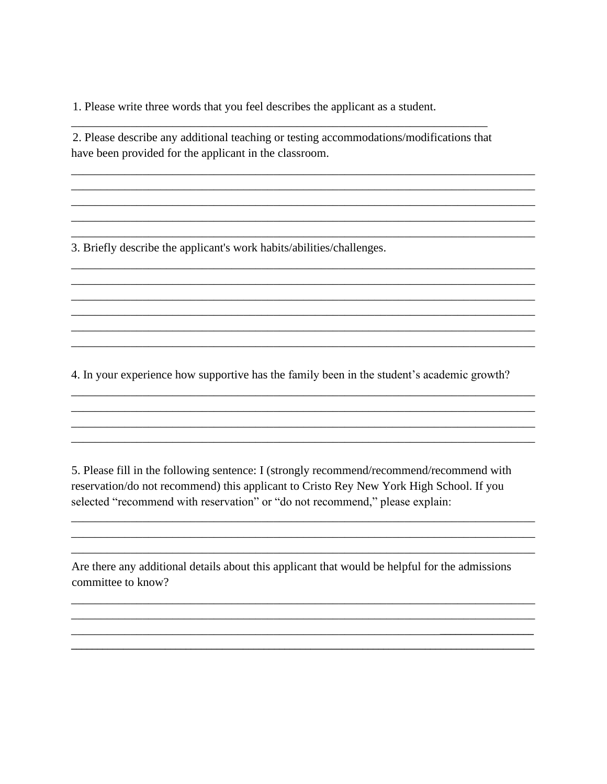1. Please write three words that you feel describes the applicant as a student.

2. Please describe any additional teaching or testing accommodations/modifications that have been provided for the applicant in the classroom.

3. Briefly describe the applicant's work habits/abilities/challenges.

4. In your experience how supportive has the family been in the student's academic growth?

5. Please fill in the following sentence: I (strongly recommend/recommend/recommend with reservation/do not recommend) this applicant to Cristo Rey New York High School. If you selected "recommend with reservation" or "do not recommend," please explain:

Are there any additional details about this applicant that would be helpful for the admissions committee to know?